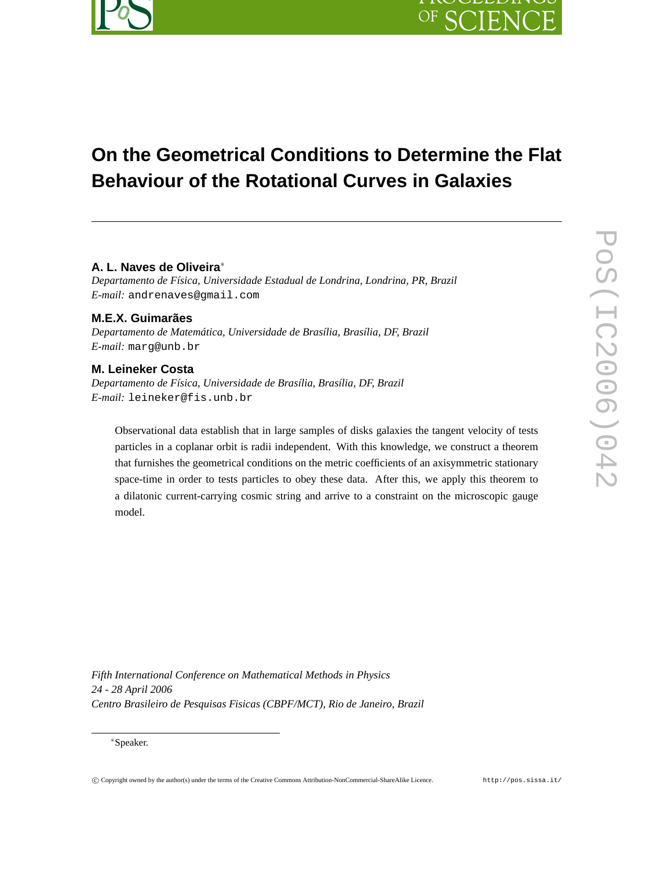

# **On the Geometrical Conditions to Determine the Flat Behaviour of the Rotational Curves in Galaxies**

# **A. L. Naves de Oliveira**<sup>∗</sup>

*Departamento de Física, Universidade Estadual de Londrina, Londrina, PR, Brazil E-mail:* andrenaves@gmail.com

# **M.E.X. Guimarães**

*Departamento de Matemática, Universidade de Brasília, Brasília, DF, Brazil E-mail:* marg@unb.br

# **M. Leineker Costa**

*Departamento de Física, Universidade de Brasília, Brasília, DF, Brazil E-mail:* leineker@fis.unb.br

Observational data establish that in large samples of disks galaxies the tangent velocity of tests particles in a coplanar orbit is radii independent. With this knowledge, we construct a theorem that furnishes the geometrical conditions on the metric coefficients of an axisymmetric stationary space-time in order to tests particles to obey these data. After this, we apply this theorem to a dilatonic current-carrying cosmic string and arrive to a constraint on the microscopic gauge model.

*Fifth International Conference on Mathematical Methods in Physics 24 - 28 April 2006 Centro Brasileiro de Pesquisas Fisicas (CBPF/MCT), Rio de Janeiro, Brazil*

<sup>∗</sup>Speaker.

匸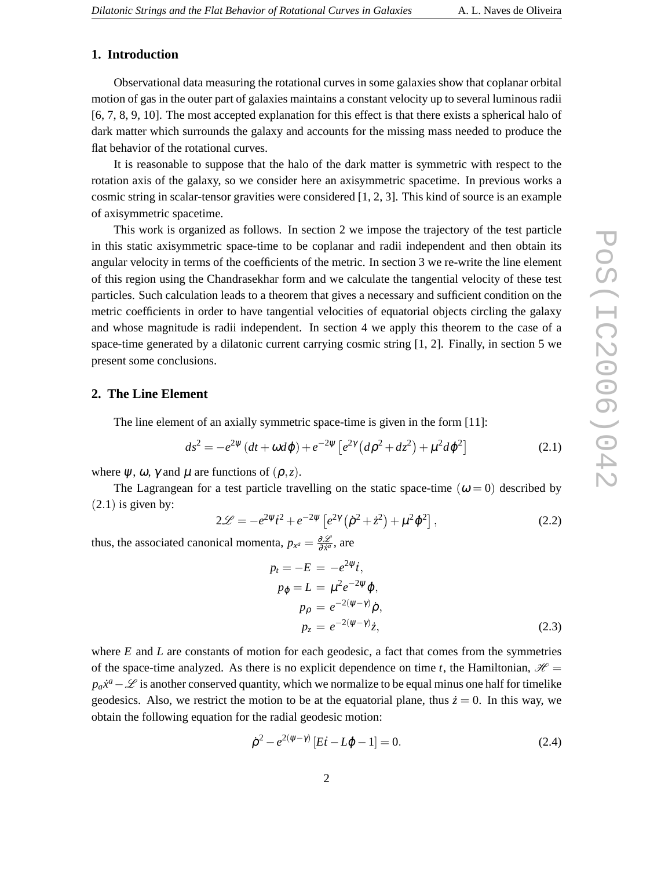### **1. Introduction**

Observational data measuring the rotational curves in some galaxies show that coplanar orbital motion of gas in the outer part of galaxies maintains a constant velocity up to several luminous radii [6, 7, 8, 9, 10]. The most accepted explanation for this effect is that there exists a spherical halo of dark matter which surrounds the galaxy and accounts for the missing mass needed to produce the flat behavior of the rotational curves.

It is reasonable to suppose that the halo of the dark matter is symmetric with respect to the rotation axis of the galaxy, so we consider here an axisymmetric spacetime. In previous works a cosmic string in scalar-tensor gravities were considered [1, 2, 3]. This kind of source is an example of axisymmetric spacetime.

This work is organized as follows. In section 2 we impose the trajectory of the test particle in this static axisymmetric space-time to be coplanar and radii independent and then obtain its angular velocity in terms of the coefficients of the metric. In section 3 we re-write the line element of this region using the Chandrasekhar form and we calculate the tangential velocity of these test particles. Such calculation leads to a theorem that gives a necessary and sufficient condition on the metric coefficients in order to have tangential velocities of equatorial objects circling the galaxy and whose magnitude is radii independent. In section 4 we apply this theorem to the case of a space-time generated by a dilatonic current carrying cosmic string [1, 2]. Finally, in section 5 we present some conclusions.

#### **2. The Line Element**

The line element of an axially symmetric space-time is given in the form [11]:

$$
ds^{2} = -e^{2\psi} (dt + \omega d\phi) + e^{-2\psi} \left[ e^{2\gamma} (d\rho^{2} + dz^{2}) + \mu^{2} d\phi^{2} \right]
$$
 (2.1)

where  $\psi$ ,  $\omega$ ,  $\gamma$  and  $\mu$  are functions of  $(\rho, z)$ .

The Lagrangean for a test particle travelling on the static space-time  $(\omega = 0)$  described by  $(2.1)$  is given by:

$$
2\mathcal{L} = -e^{2\psi}i^2 + e^{-2\psi} \left[ e^{2\gamma} \left( \dot{\rho}^2 + \dot{z}^2 \right) + \mu^2 \dot{\phi}^2 \right],\tag{2.2}
$$

thus, the associated canonical momenta,  $p_{x^a} = \frac{\partial \mathcal{L}}{\partial x^a}$ ∂ *x*˙ *a* , are

$$
p_t = -E = -e^{2\psi}i,
$$
  
\n
$$
p_{\varphi} = L = \mu^2 e^{-2\psi} \dot{\varphi},
$$
  
\n
$$
p_{\rho} = e^{-2(\psi - \gamma)} \dot{\rho},
$$
  
\n
$$
p_z = e^{-2(\psi - \gamma)} \dot{z},
$$
\n(2.3)

where *E* and *L* are constants of motion for each geodesic, a fact that comes from the symmetries of the space-time analyzed. As there is no explicit dependence on time *t*, the Hamiltonian,  $\mathcal{H}$  =  $p_a x^a - \mathcal{L}$  is another conserved quantity, which we normalize to be equal minus one half for timelike geodesics. Also, we restrict the motion to be at the equatorial plane, thus  $\dot{z} = 0$ . In this way, we obtain the following equation for the radial geodesic motion:

$$
\dot{\rho}^2 - e^{2(\psi - \gamma)} [Ei - L\dot{\phi} - 1] = 0.
$$
\n(2.4)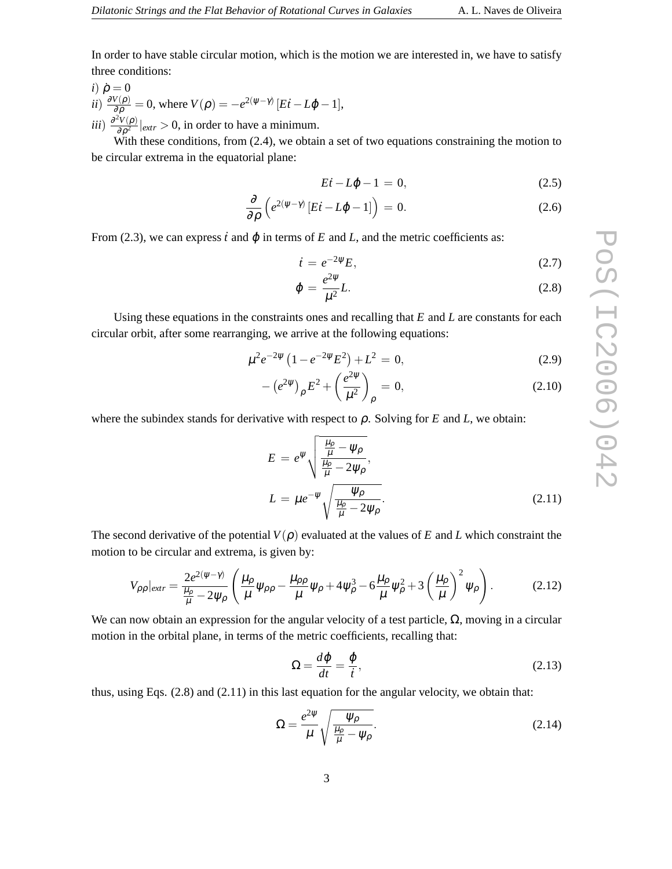In order to have stable circular motion, which is the motion we are interested in, we have to satisfy three conditions:

 $i) \dot{\rho} = 0$ *ii*)  $\frac{\partial V(\rho)}{\partial \rho} = 0$ , where  $V(\rho) = -e^{2(\psi - \gamma)} [E\dot{t} - L\dot{\phi} - 1]$ , *iii*)  $\frac{\partial^2 V(\rho)}{\partial \rho^2}$  $\frac{\partial^2 V(p)}{\partial \rho^2}|_{extr} > 0$ , in order to have a minimum.

With these conditions, from (2.4), we obtain a set of two equations constraining the motion to be circular extrema in the equatorial plane:

$$
E\dot{t} - L\dot{\phi} - 1 = 0,\t(2.5)
$$

$$
\frac{\partial}{\partial \rho} \left( e^{2(\psi - \gamma)} \left[ E i - L \dot{\phi} - 1 \right] \right) = 0. \tag{2.6}
$$

From (2.3), we can express  $\dot{t}$  and  $\dot{\phi}$  in terms of  $E$  and  $L$ , and the metric coefficients as:

$$
\dot{t} = e^{-2\psi} E,\tag{2.7}
$$

$$
\dot{\varphi} = \frac{e^{2\psi}}{\mu^2} L. \tag{2.8}
$$

Using these equations in the constraints ones and recalling that *E* and *L* are constants for each circular orbit, after some rearranging, we arrive at the following equations:

$$
\mu^2 e^{-2\psi} \left( 1 - e^{-2\psi} E^2 \right) + L^2 = 0, \tag{2.9}
$$

$$
-(e^{2\psi})_{\rho}E^2 + \left(\frac{e^{2\psi}}{\mu^2}\right)_{\rho} = 0, \qquad (2.10)
$$

where the subindex stands for derivative with respect to  $\rho$ . Solving for *E* and *L*, we obtain:

$$
E = e^{\psi} \sqrt{\frac{\frac{\mu_{\rho}}{\mu} - \psi_{\rho}}{\frac{\mu_{\rho}}{\mu} - 2\psi_{\rho}}},
$$
  

$$
L = \mu e^{-\psi} \sqrt{\frac{\psi_{\rho}}{\frac{\mu_{\rho}}{\mu} - 2\psi_{\rho}}}.
$$
 (2.11)

The second derivative of the potential  $V(\rho)$  evaluated at the values of *E* and *L* which constraint the motion to be circular and extrema, is given by:

$$
V_{\rho\rho}|_{extr} = \frac{2e^{2(\psi-\gamma)}}{\frac{\mu_{\rho}}{\mu} - 2\psi_{\rho}} \left( \frac{\mu_{\rho}}{\mu} \psi_{\rho\rho} - \frac{\mu_{\rho\rho}}{\mu} \psi_{\rho} + 4\psi_{\rho}^{3} - 6\frac{\mu_{\rho}}{\mu} \psi_{\rho}^{2} + 3\left(\frac{\mu_{\rho}}{\mu}\right)^{2} \psi_{\rho} \right). \tag{2.12}
$$

We can now obtain an expression for the angular velocity of a test particle,  $\Omega$ , moving in a circular motion in the orbital plane, in terms of the metric coefficients, recalling that:

$$
\Omega = \frac{d\varphi}{dt} = \frac{\dot{\varphi}}{t},\tag{2.13}
$$

thus, using Eqs. (2.8) and (2.11) in this last equation for the angular velocity, we obtain that:

$$
\Omega = \frac{e^{2\psi}}{\mu} \sqrt{\frac{\psi_{\rho}}{\frac{\mu_{\rho}}{\mu} - \psi_{\rho}}}.
$$
\n(2.14)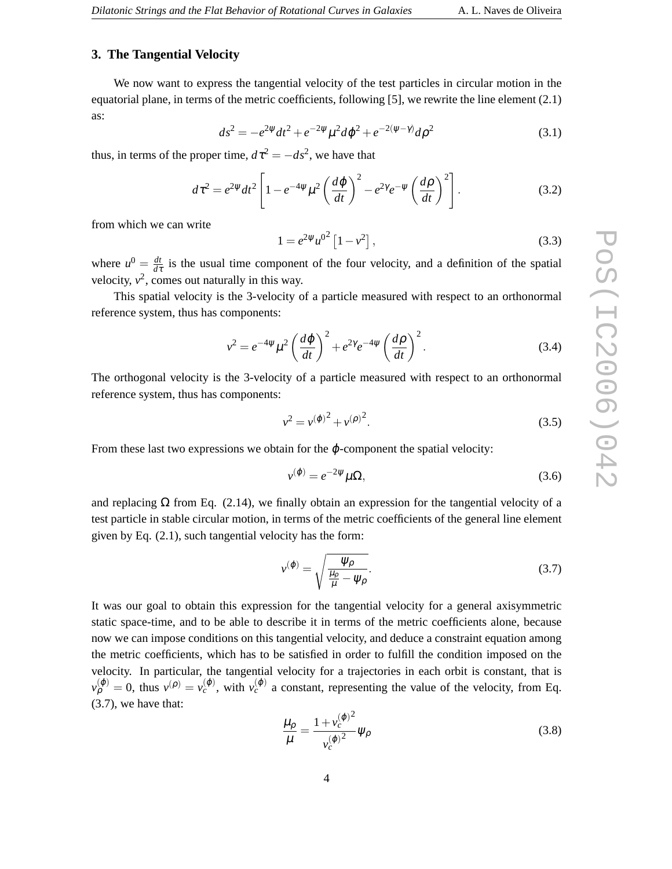#### **3. The Tangential Velocity**

We now want to express the tangential velocity of the test particles in circular motion in the equatorial plane, in terms of the metric coefficients, following [5], we rewrite the line element (2.1) as:

$$
ds^{2} = -e^{2\psi}dt^{2} + e^{-2\psi}\mu^{2}d\varphi^{2} + e^{-2(\psi-\gamma)}d\rho^{2}
$$
\n(3.1)

thus, in terms of the proper time,  $d\tau^2 = -ds^2$ , we have that

$$
d\tau^2 = e^{2\psi} dt^2 \left[ 1 - e^{-4\psi} \mu^2 \left( \frac{d\varphi}{dt} \right)^2 - e^{2\gamma} e^{-\psi} \left( \frac{d\rho}{dt} \right)^2 \right].
$$
 (3.2)

from which we can write

$$
1 = e^{2\psi} u^{0^2} [1 - v^2], \qquad (3.3)
$$

where  $u^0 = \frac{dt}{dt}$  $\frac{dt}{d\tau}$  is the usual time component of the four velocity, and a definition of the spatial velocity,  $v^2$ , comes out naturally in this way.

This spatial velocity is the 3-velocity of a particle measured with respect to an orthonormal reference system, thus has components:

$$
v^2 = e^{-4\psi} \mu^2 \left(\frac{d\varphi}{dt}\right)^2 + e^{2\gamma} e^{-4\psi} \left(\frac{d\rho}{dt}\right)^2.
$$
 (3.4)

The orthogonal velocity is the 3-velocity of a particle measured with respect to an orthonormal reference system, thus has components:

$$
v^2 = v^{(\varphi)^2} + v^{(\rho)^2}.
$$
\n(3.5)

From these last two expressions we obtain for the  $\varphi$ -component the spatial velocity:

$$
v^{(\varphi)} = e^{-2\psi} \mu \Omega,\tag{3.6}
$$

and replacing  $\Omega$  from Eq. (2.14), we finally obtain an expression for the tangential velocity of a test particle in stable circular motion, in terms of the metric coefficients of the general line element given by Eq. (2.1), such tangential velocity has the form:

$$
v^{(\varphi)} = \sqrt{\frac{\psi_{\rho}}{\frac{\mu_{\rho}}{\mu} - \psi_{\rho}}}.
$$
\n(3.7)

It was our goal to obtain this expression for the tangential velocity for a general axisymmetric static space-time, and to be able to describe it in terms of the metric coefficients alone, because now we can impose conditions on this tangential velocity, and deduce a constraint equation among the metric coefficients, which has to be satisfied in order to fulfill the condition imposed on the velocity. In particular, the tangential velocity for a trajectories in each orbit is constant, that is  $v_{\rho}^{(\varphi)} = 0$ , thus  $v^{(\rho)} = v_c^{(\varphi)}$ , with  $v_c^{(\varphi)}$  a constant, representing the value of the velocity, from Eq. (3.7), we have that:

$$
\frac{\mu_{\rho}}{\mu} = \frac{1 + v_c^{(\varphi)^2}}{v_c^{(\varphi)^2}} \psi_{\rho}
$$
\n(3.8)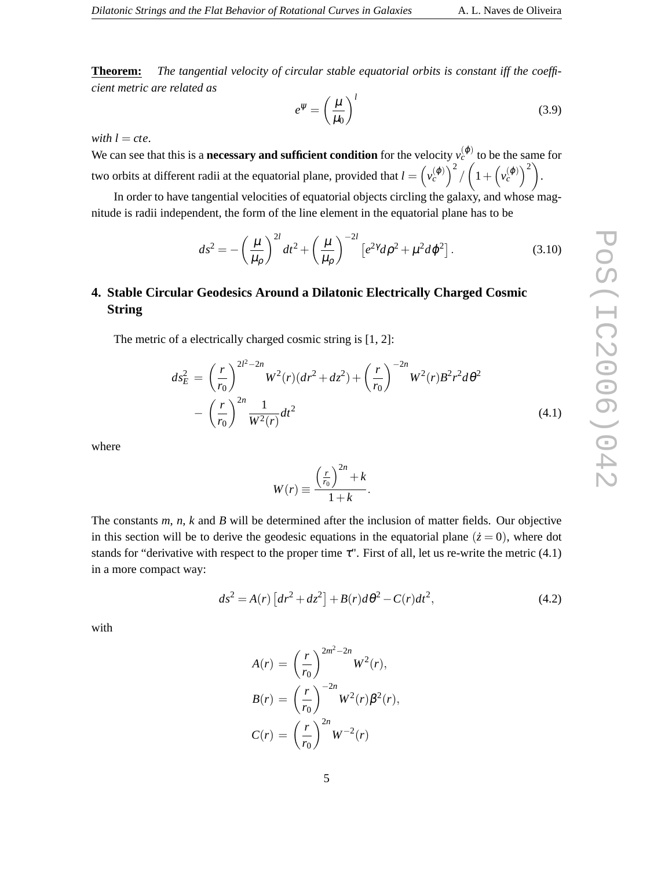**Theorem:** *The tangential velocity of circular stable equatorial orbits is constant iff the coefficient metric are related as*

$$
e^{\psi} = \left(\frac{\mu}{\mu_0}\right)^l \tag{3.9}
$$

*with*  $l = cte$ .

We can see that this is a **necessary and sufficient condition** for the velocity  $v_c^{(\varphi)}$  to be the same for two orbits at different radii at the equatorial plane, provided that  $l = \left(v_c^{(\varphi)}\right)^2 / \left(1 + \left(v_c^{(\varphi)}\right)^2\right)$ .

In order to have tangential velocities of equatorial objects circling the galaxy, and whose magnitude is radii independent, the form of the line element in the equatorial plane has to be

$$
ds^{2} = -\left(\frac{\mu}{\mu_{\rho}}\right)^{2l}dt^{2} + \left(\frac{\mu}{\mu_{\rho}}\right)^{-2l} \left[e^{2\gamma}d\rho^{2} + \mu^{2}d\varphi^{2}\right].
$$
 (3.10)

# **4. Stable Circular Geodesics Around a Dilatonic Electrically Charged Cosmic String**

The metric of a electrically charged cosmic string is [1, 2]:

$$
ds_E^2 = \left(\frac{r}{r_0}\right)^{2l^2 - 2n} W^2(r) (dr^2 + dz^2) + \left(\frac{r}{r_0}\right)^{-2n} W^2(r) B^2 r^2 d\theta^2
$$

$$
- \left(\frac{r}{r_0}\right)^{2n} \frac{1}{W^2(r)} dt^2
$$
(4.1)

where

$$
W(r) \equiv \frac{\left(\frac{r}{r_0}\right)^{2n} + k}{1 + k}.
$$

The constants *m*, *n*, *k* and *B* will be determined after the inclusion of matter fields. Our objective in this section will be to derive the geodesic equations in the equatorial plane  $(\dot{z}=0)$ , where dot stands for "derivative with respect to the proper time  $\tau$ ". First of all, let us re-write the metric (4.1) in a more compact way:

$$
ds^{2} = A(r) \left[ dr^{2} + dz^{2} \right] + B(r) d\theta^{2} - C(r) dt^{2}, \qquad (4.2)
$$

with

$$
A(r) = \left(\frac{r}{r_0}\right)^{2m^2 - 2n} W^2(r),
$$
  
\n
$$
B(r) = \left(\frac{r}{r_0}\right)^{-2n} W^2(r) \beta^2(r),
$$
  
\n
$$
C(r) = \left(\frac{r}{r_0}\right)^{2n} W^{-2}(r)
$$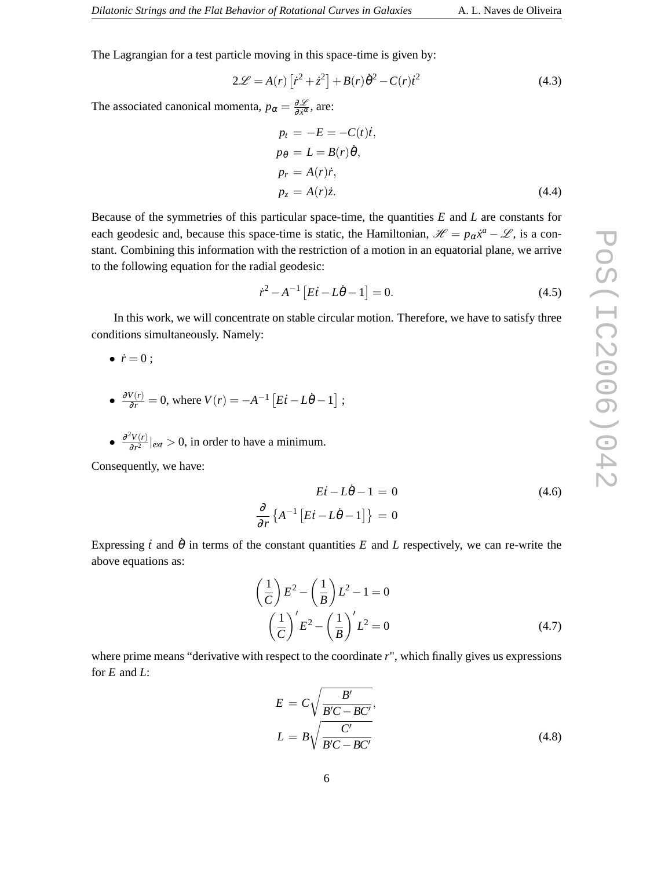The Lagrangian for a test particle moving in this space-time is given by:

$$
2\mathcal{L} = A(r) \left[ \dot{r}^2 + \dot{z}^2 \right] + B(r) \dot{\theta}^2 - C(r) \dot{t}^2 \tag{4.3}
$$

The associated canonical momenta,  $p_{\alpha} = \frac{\partial \mathcal{L}}{\partial \dot{x}^{\alpha}}$  $\frac{\partial \mathcal{L}}{\partial \dot{x}^{\alpha}}$ , are:

$$
p_t = -E = -C(t)i,
$$
  
\n
$$
p_{\theta} = L = B(r)\dot{\theta},
$$
  
\n
$$
p_r = A(r)\dot{r},
$$
  
\n
$$
p_z = A(r)\dot{z}.
$$
\n(4.4)

Because of the symmetries of this particular space-time, the quantities *E* and *L* are constants for each geodesic and, because this space-time is static, the Hamiltonian,  $\mathcal{H} = p_{\alpha} \dot{x}^a - \mathcal{L}$ , is a constant. Combining this information with the restriction of a motion in an equatorial plane, we arrive to the following equation for the radial geodesic:

$$
\dot{r}^2 - A^{-1} \left[ E \dot{t} - L \dot{\theta} - 1 \right] = 0. \tag{4.5}
$$

In this work, we will concentrate on stable circular motion. Therefore, we have to satisfy three conditions simultaneously. Namely:

$$
\bullet \ \dot{r}=0\ ;
$$

- $\frac{\partial V(r)}{\partial r} = 0$ , where  $V(r) = -A^{-1} \left[ E\dot{r} L\dot{\theta} 1 \right]$ ;
- $\bullet$   $\frac{\partial^2 V(r)}{\partial r^2}$  $\frac{\partial^2 V(r)}{\partial r^2}|_{ext} > 0$ , in order to have a minimum.

∂ ∂ *r*

Consequently, we have:

$$
E\dot{t} - L\dot{\theta} - 1 = 0
$$
\n
$$
\left\{ A^{-1} \left[ E\dot{t} - L\dot{\theta} - 1 \right] \right\} = 0
$$
\n(4.6)

Expressing  $\dot{t}$  and  $\dot{\theta}$  in terms of the constant quantities  $E$  and  $L$  respectively, we can re-write the above equations as:

$$
\left(\frac{1}{C}\right)E^2 - \left(\frac{1}{B}\right)L^2 - 1 = 0
$$
\n
$$
\left(\frac{1}{C}\right)'E^2 - \left(\frac{1}{B}\right)'L^2 = 0
$$
\n(4.7)

where prime means "derivative with respect to the coordinate *r*", which finally gives us expressions for *E* and *L*:

$$
E = C \sqrt{\frac{B'}{B'C - BC'}},
$$
  

$$
L = B \sqrt{\frac{C'}{B'C - BC'}}
$$
 (4.8)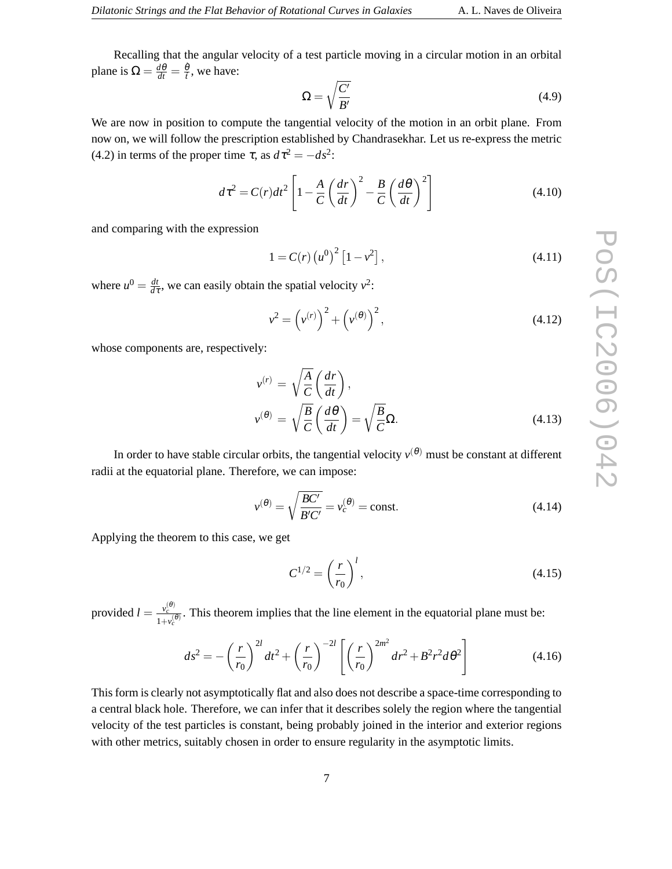Recalling that the angular velocity of a test particle moving in a circular motion in an orbital plane is  $\Omega = \frac{d\theta}{dt} = \frac{\dot{\theta}}{t}$  $\frac{\theta}{i}$ , we have:

$$
\Omega = \sqrt{\frac{C'}{B'}}\tag{4.9}
$$

We are now in position to compute the tangential velocity of the motion in an orbit plane. From now on, we will follow the prescription established by Chandrasekhar. Let us re-express the metric (4.2) in terms of the proper time  $\tau$ , as  $d\tau^2 = -ds^2$ :

$$
d\tau^2 = C(r)dt^2 \left[ 1 - \frac{A}{C} \left( \frac{dr}{dt} \right)^2 - \frac{B}{C} \left( \frac{d\theta}{dt} \right)^2 \right]
$$
(4.10)

and comparing with the expression

$$
1 = C(r) (u0)2 [1 - v2],
$$
\n(4.11)

where  $u^0 = \frac{dt}{dt}$  $\frac{dt}{d\tau}$ , we can easily obtain the spatial velocity  $v^2$ :

$$
v^{2} = (v^{(r)})^{2} + (v^{(\theta)})^{2},
$$
\n(4.12)

whose components are, respectively:

$$
\nu^{(r)} = \sqrt{\frac{A}{C}} \left( \frac{dr}{dt} \right),
$$
  

$$
\nu^{(\theta)} = \sqrt{\frac{B}{C}} \left( \frac{d\theta}{dt} \right) = \sqrt{\frac{B}{C}} \Omega.
$$
 (4.13)

In order to have stable circular orbits, the tangential velocity  $v^{(\theta)}$  must be constant at different radii at the equatorial plane. Therefore, we can impose:

$$
v^{(\theta)} = \sqrt{\frac{BC'}{B'C'}} = v_c^{(\theta)} = \text{const.}
$$
\n(4.14)

Applying the theorem to this case, we get

$$
C^{1/2} = \left(\frac{r}{r_0}\right)^l,\tag{4.15}
$$

provided  $l = \frac{v_c^{(\theta)}}{1 - c}$  $\frac{v_c^{1/2}}{1+v_c^{0/2}}$ . This theorem implies that the line element in the equatorial plane must be:

$$
ds^{2} = -\left(\frac{r}{r_{0}}\right)^{2l}dt^{2} + \left(\frac{r}{r_{0}}\right)^{-2l} \left[\left(\frac{r}{r_{0}}\right)^{2m^{2}}dr^{2} + B^{2}r^{2}d\theta^{2}\right]
$$
(4.16)

This form is clearly not asymptotically flat and also does not describe a space-time corresponding to a central black hole. Therefore, we can infer that it describes solely the region where the tangential velocity of the test particles is constant, being probably joined in the interior and exterior regions with other metrics, suitably chosen in order to ensure regularity in the asymptotic limits.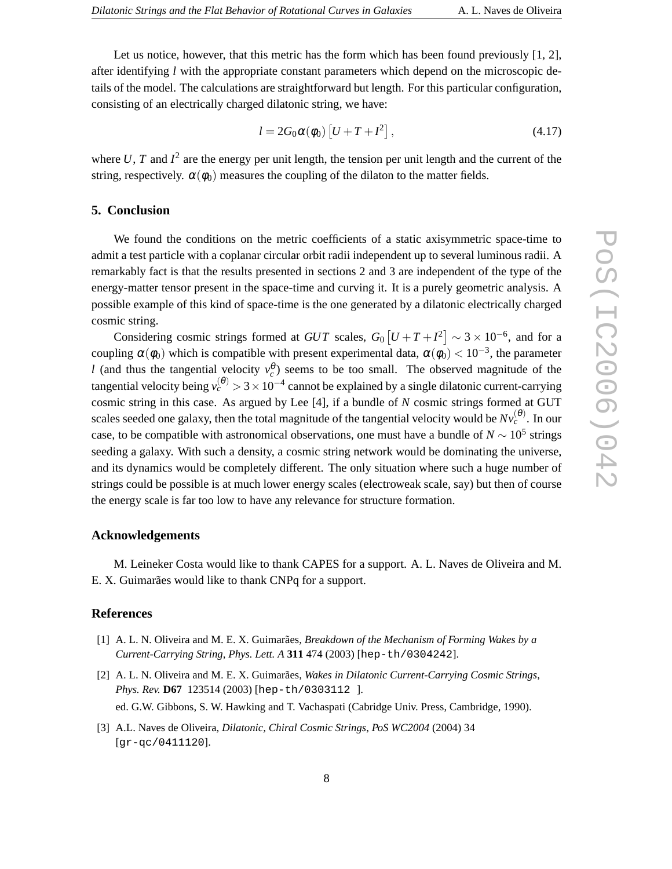Let us notice, however, that this metric has the form which has been found previously [1, 2], after identifying *l* with the appropriate constant parameters which depend on the microscopic details of the model. The calculations are straightforward but length. For this particular configuration, consisting of an electrically charged dilatonic string, we have:

$$
l = 2G_0 \alpha(\phi_0) \left[ U + T + I^2 \right], \tag{4.17}
$$

where  $U$ ,  $T$  and  $I^2$  are the energy per unit length, the tension per unit length and the current of the string, respectively.  $\alpha(\phi_0)$  measures the coupling of the dilaton to the matter fields.

# **5. Conclusion**

We found the conditions on the metric coefficients of a static axisymmetric space-time to admit a test particle with a coplanar circular orbit radii independent up to several luminous radii. A remarkably fact is that the results presented in sections 2 and 3 are independent of the type of the energy-matter tensor present in the space-time and curving it. It is a purely geometric analysis. A possible example of this kind of space-time is the one generated by a dilatonic electrically charged cosmic string.

Considering cosmic strings formed at  $GUT$  scales,  $G_0 [U+T+T^2] \sim 3 \times 10^{-6}$ , and for a coupling  $\alpha(\phi_0)$  which is compatible with present experimental data,  $\alpha(\phi_0) < 10^{-3}$ , the parameter *l* (and thus the tangential velocity  $v_c^{\theta}$ ) seems to be too small. The observed magnitude of the tangential velocity being  $v_c^{(\theta)} > 3 \times 10^{-4}$  cannot be explained by a single dilatonic current-carrying cosmic string in this case. As argued by Lee [4], if a bundle of *N* cosmic strings formed at GUT scales seeded one galaxy, then the total magnitude of the tangential velocity would be  $Nv_c^{(\theta)}$ . In our case, to be compatible with astronomical observations, one must have a bundle of  $N \sim 10^5$  strings seeding a galaxy. With such a density, a cosmic string network would be dominating the universe, and its dynamics would be completely different. The only situation where such a huge number of strings could be possible is at much lower energy scales (electroweak scale, say) but then of course the energy scale is far too low to have any relevance for structure formation.

# **Acknowledgements**

M. Leineker Costa would like to thank CAPES for a support. A. L. Naves de Oliveira and M. E. X. Guimarães would like to thank CNPq for a support.

# **References**

- [1] A. L. N. Oliveira and M. E. X. Guimarães, *Breakdown of the Mechanism of Forming Wakes by a Current-Carrying String*, *Phys. Lett. A* **311** 474 (2003) [hep-th/0304242].
- [2] A. L. N. Oliveira and M. E. X. Guimarães, *Wakes in Dilatonic Current-Carrying Cosmic Strings*, *Phys. Rev.* **D67** 123514 (2003) [hep-th/0303112 ]. ed. G.W. Gibbons, S. W. Hawking and T. Vachaspati (Cabridge Univ. Press, Cambridge, 1990).
- [3] A.L. Naves de Oliveira, *Dilatonic, Chiral Cosmic Strings*, *PoS WC2004* (2004) 34 [gr-qc/0411120].